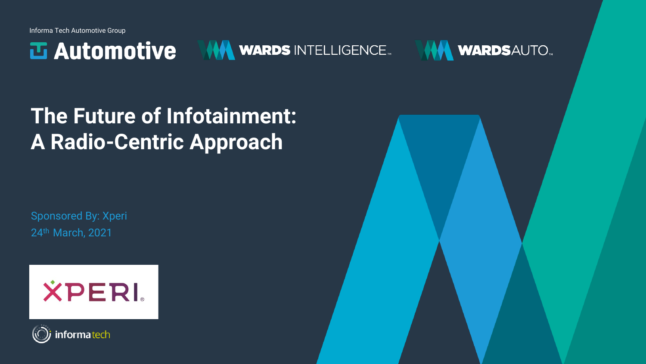Informa Tech Automotive Group

**西 Automotive** 





**The Future of Infotainment: A Radio-Centric Approach**

Sponsored By: Xperi 24th March, 2021





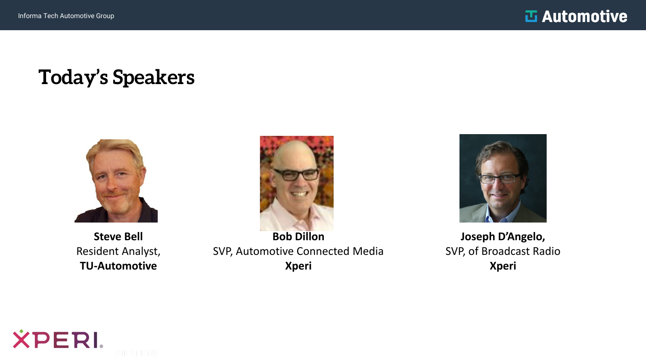#### **Today's Speakers**



**Steve Bell** Resident Analyst, **TU-Automotive**



**Bob Dillon**  SVP, Automotive Connected Media **Xperi**



**Joseph D'Angelo,** SVP, of Broadcast Radio **Xperi**

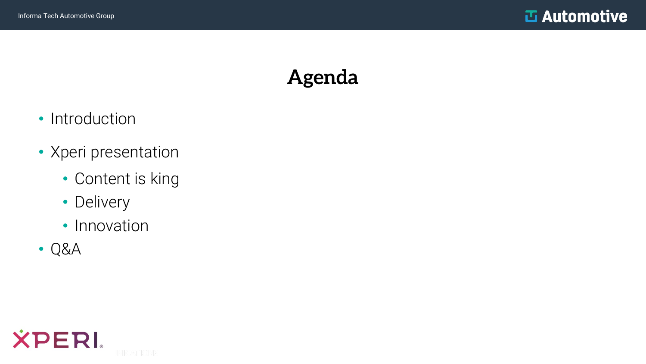#### **Agenda**

- Introduction
- Xperi presentation
	- Content is king
	- Delivery
	- Innovation
- Q&A

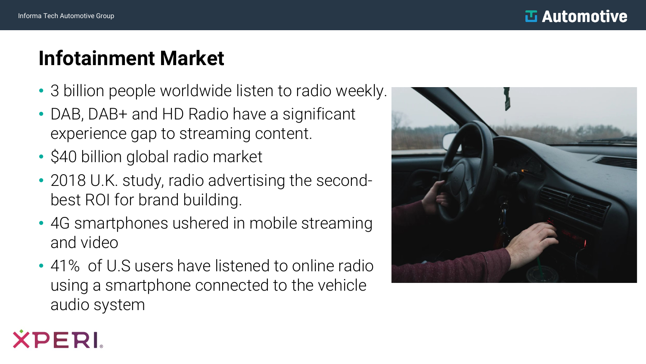PERI

## **Infotainment Market**

- 3 billion people worldwide listen to radio weekly.
- DAB, DAB+ and HD Radio have a significant experience gap to streaming content.
- \$40 billion global radio market
- 2018 U.K. study, radio advertising the secondbest ROI for brand building.
- 4G smartphones ushered in mobile streaming and video
- 41% of U.S users have listened to online radio using a smartphone connected to the vehicle audio system

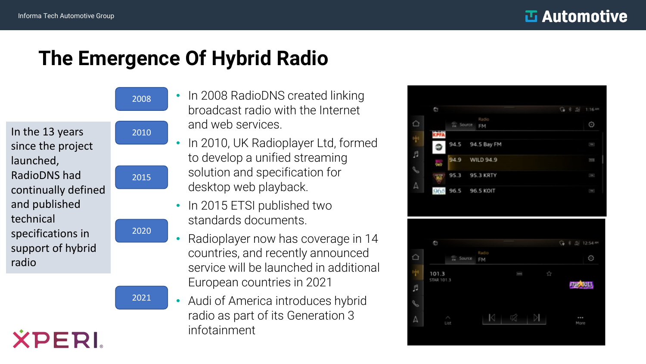## **The Emergence Of Hybrid Radio**

In the 13 years since the project launched, RadioDNS had continually defined and published technical specifications in support of hybrid radio

**XPERI** 



2008

2021

- In 2008 RadioDNS created linking broadcast radio with the Internet and web services.
- In 2010, UK Radioplayer Ltd, formed to develop a unified streaming solution and specification for desktop web playback.
- In 2015 ETSI published two standards documents.
- Radioplayer now has coverage in 14 countries, and recently announced service will be launched in additional European countries in 2021
- Audi of America introduces hybrid radio as part of its Generation 3 infotainment



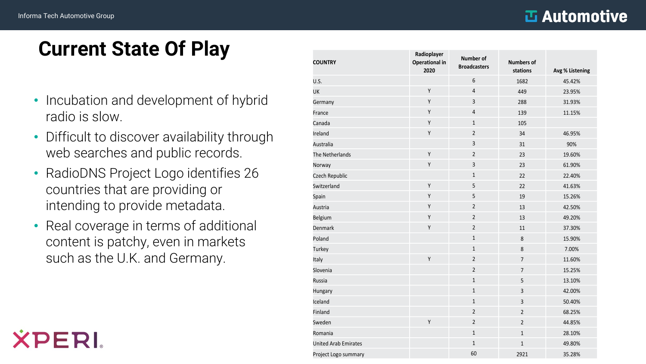ERI

#### **Manufilm**

## **Current State Of Play**

- Incubation and development of hybrid radio is slow.
- Difficult to discover availability through web searches and public records.
- RadioDNS Project Logo identifies 26 countries that are providing or intending to provide metadata.
- Real coverage in terms of additional content is patchy, even in markets such as the U.K. and Germany.

| <b>COUNTRY</b>              | Radioplayer<br><b>Operational in</b><br>2020 | <b>Number of</b><br><b>Broadcasters</b> | <b>Numbers of</b><br>stations | Avg % Listening |
|-----------------------------|----------------------------------------------|-----------------------------------------|-------------------------------|-----------------|
| U.S.                        |                                              | $\boldsymbol{6}$                        | 1682                          | 45.42%          |
| UK                          | Υ                                            | $\overline{4}$                          | 449                           | 23.95%          |
| Germany                     | Υ                                            | 3                                       | 288                           | 31.93%          |
| France                      | Υ                                            | $\overline{4}$                          | 139                           | 11.15%          |
| Canada                      | Υ                                            | $\mathbf{1}$                            | 105                           |                 |
| Ireland                     | Υ                                            | $\sqrt{2}$                              | 34                            | 46.95%          |
| Australia                   |                                              | 3                                       | 31                            | 90%             |
| The Netherlands             | Υ                                            | $\mathbf 2$                             | 23                            | 19.60%          |
| Norway                      | Υ                                            | 3                                       | 23                            | 61.90%          |
| Czech Republic              |                                              | $1\,$                                   | 22                            | 22.40%          |
| Switzerland                 | Υ                                            | 5                                       | 22                            | 41.63%          |
| Spain                       | Υ                                            | 5                                       | 19                            | 15.26%          |
| Austria                     | Υ                                            | $\overline{2}$                          | 13                            | 42.50%          |
| <b>Belgium</b>              | Υ                                            | $\overline{2}$                          | 13                            | 49.20%          |
| Denmark                     | Υ                                            | 2                                       | $11\,$                        | 37.30%          |
| Poland                      |                                              | $\mathbf 1$                             | $\,8\,$                       | 15.90%          |
| Turkey                      |                                              | $\mathbf 1$                             | $\,8\,$                       | 7.00%           |
| Italy                       | Υ                                            | $\sqrt{2}$                              | $\overline{7}$                | 11.60%          |
| Slovenia                    |                                              | $\sqrt{2}$                              | $\overline{7}$                | 15.25%          |
| Russia                      |                                              | $1\,$                                   | 5                             | 13.10%          |
| Hungary                     |                                              | $\mathbf 1$                             | $\overline{\mathbf{3}}$       | 42.00%          |
| Iceland                     |                                              | $\mathbf{1}$                            | 3                             | 50.40%          |
| Finland                     |                                              | $\overline{2}$                          | $\overline{2}$                | 68.25%          |
| Sweden                      | Υ                                            | $\overline{2}$                          | $\overline{2}$                | 44.85%          |
| Romania                     |                                              | $\mathbf{1}$                            | $\mathbf{1}$                  | 28.10%          |
| <b>United Arab Emirates</b> |                                              | $\mathbf 1$                             | $\mathbf{1}$                  | 49.80%          |
| Project Logo summary        |                                              | 60                                      | 2921                          | 35.28%          |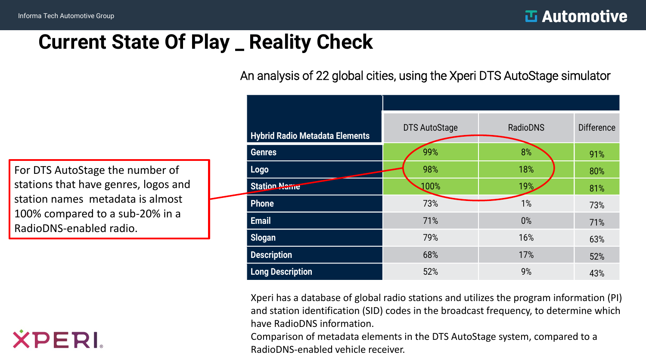## **Current State Of Play \_ Reality Check**

An analysis of 22 global cities, using the Xperi DTS AutoStage simulator

For DTS AutoStage the number of stations that have genres, logos and station names metadata is almost 100% compared to a sub-20% in a RadioDNS-enabled radio.



| <b>Hybrid Radio Metadata Elements</b> | <b>DTS AutoStage</b> | <b>RadioDNS</b> | <b>Difference</b> |
|---------------------------------------|----------------------|-----------------|-------------------|
| <b>Genres</b>                         | 99%                  | 8%              | 91%               |
| Logo                                  | 98%                  | 18%             | 80%               |
| <b>Station Name</b>                   | 100%                 | 19%             | 81%               |
| <b>Phone</b>                          | 73%                  | 1%              | 73%               |
| <b>Email</b>                          | 71%                  | $0\%$           | 71%               |
| <b>Slogan</b>                         | 79%                  | 16%             | 63%               |
| <b>Description</b>                    | 68%                  | 17%             | 52%               |
| <b>Long Description</b>               | 52%                  | 9%              | 43%               |

Xperi has a database of global radio stations and utilizes the program information (PI) and station identification (SID) codes in the broadcast frequency, to determine which have RadioDNS information.

Comparison of metadata elements in the DTS AutoStage system, compared to a RadioDNS-enabled vehicle receiver.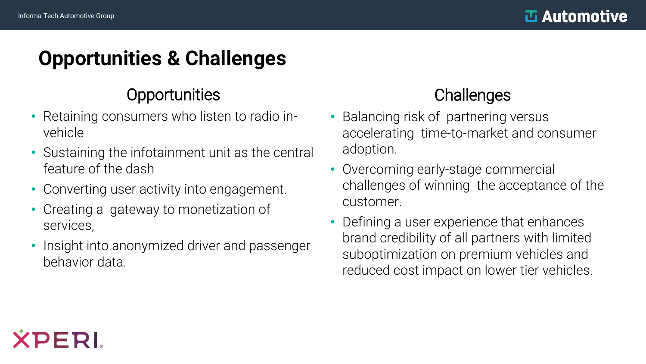## **Opportunities & Challenges**

#### **Opportunities**

- Retaining consumers who listen to radio invehicle
- Sustaining the infotainment unit as the central feature of the dash
- Converting user activity into engagement.
- Creating a gateway to monetization of services,
- Insight into anonymized driver and passenger behavior data.

#### **Challenges**

- Balancing risk of partnering versus accelerating time-to-market and consumer adoption.
- Overcoming early-stage commercial challenges of winning the acceptance of the customer.
- Defining a user experience that enhances brand credibility of all partners with limited suboptimization on premium vehicles and reduced cost impact on lower tier vehicles.

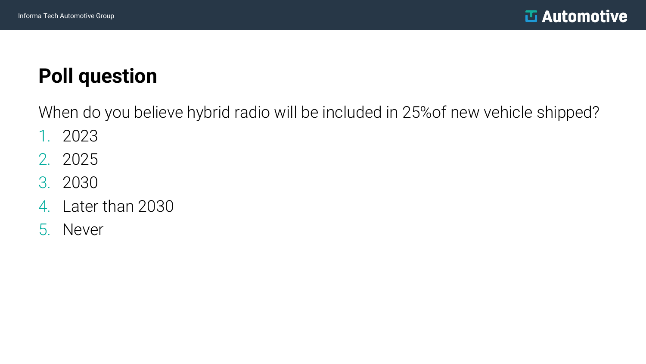# **Poll question**

When do you believe hybrid radio will be included in 25%of new vehicle shipped?

- 1. 2023
- 2. 2025
- 3. 2030
- 4. Later than 2030
- 5. Never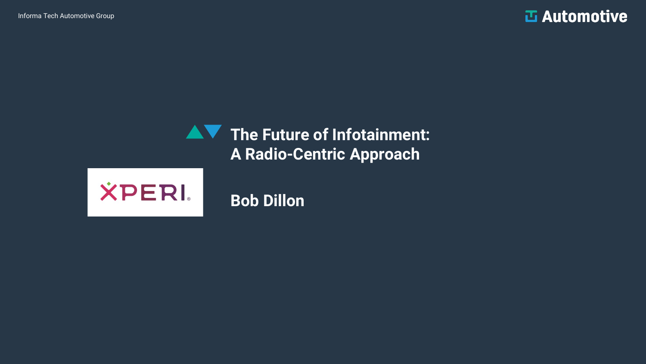**T** Automotive

#### **The Future of Infotainment: A Radio-Centric Approach**



**Bob Dillon**